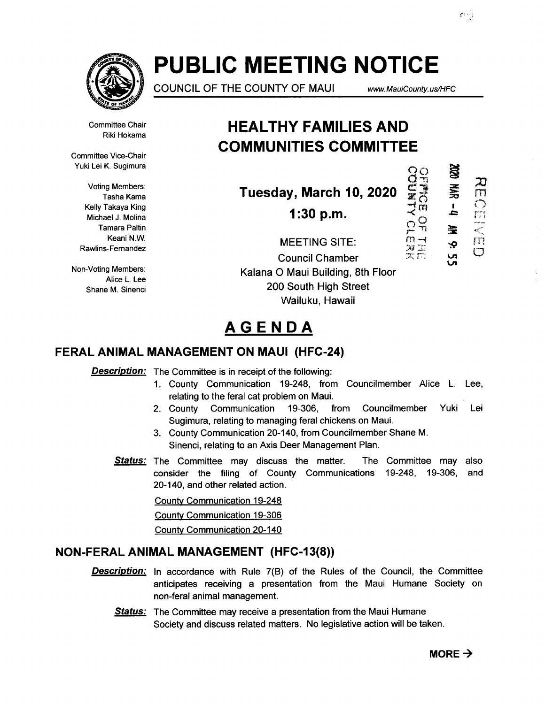

# **PUBLIC MEETING NOTICE**

COUNCIL OF THE COUNTY OF MAUl www. MauiCounty. us/HFC

**DEDED OF THERK** 

HANGE

Committee Chair Riki Hokama

Committee Vice-Chair Yuki Lei K. Sugimura

> Voting Members: Tasha Kama Kelly Takaya King Michael J. Molina Tamara Paltin Keani N.W. Rawlins-Fernandez

Non-Voting Members: Alice L. Lee Shane M. Sinenci

### **HEAL THY FAMILIES AND COMMUNITIES COMMITTEE**

**Tuesday, March 10, 2020** 

**1:30 p.m.** 

**SS**  $\mathbf{Z}$ m  $\frac{1}{\sqrt{2}}$ 宝  $\prod_{i=1}^{m}$ Ŷ.  $\mathbf C$ 

MEETING SITE: Council Chamber Kalana 0 Maui Building, 8th Floor 200 South High Street Wailuku, Hawaii

## **AGENDA**

### **FERAL ANIMAL MANAGEMENT ON MAUl (HFC-24)**

**Description:** The Committee is in receipt of the following:

- 1. County Communication 19-248, from Councilmember Alice L. Lee, relating to the feral cat problem on Maui.
- 2. County Communication 19-306, from Councilmember Yuki Lei Sugimura, relating to managing feral chickens on Maui.
- 3. County Communication 20-140, from Councilmember Shane M. Sinenci, relating to an Axis Deer Management Plan.
- **Status:** The Committee may discuss the matter. The Committee may also consider the filing of County Communications 19-248, 19-306, and 20-140, and other related action.

County Communication 19-248

County Communication 19-306

County Communication 20-140

#### **NON-FERAL ANIMAL MANAGEMENT (HFC-13(8))**

- **Description:** In accordance with Rule 7(B) of the Rules of the Council, the Committee anticipates receiving a presentation from the Maui Humane Society on non-feral animal management.
	- Status: The Committee may receive a presentation from the Maui Humane Society and discuss related matters. No legislative action will be taken.

 $\alpha$   $\vee$   $\alpha$